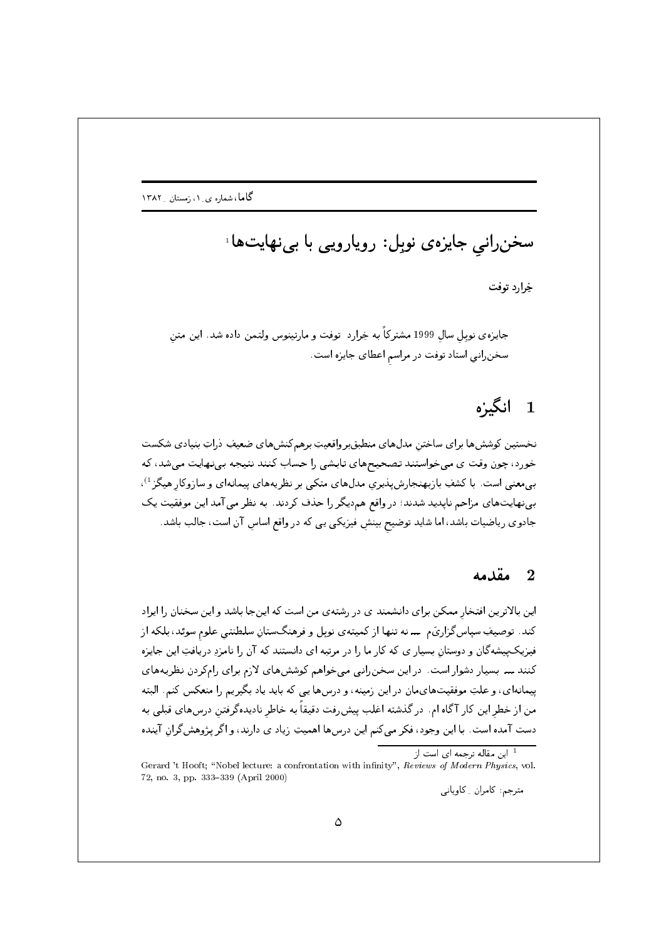سخنرانی جایزهی نوبل: رویارویی با بینهایتها ً

خرار د توفت

جایزه ی نوبل سال 1999 مشترکاً به خِرارد توفت و مارتینوس ولتمن داده شد. این متن سخنرانی استاد توفت در مراسم اعطای جایزه است.

# 1 انگیزه

نخستين كوشش ها براي ساختن مدل هاي منطبق برواقعيتِ برهم كنش هاي ضعيفٍ دراتٍ بنيادي شكست خورد، چون وقت ی می خواستند تصحیحهای تابشی را حساب کنند نتیجه بینهایت میشد، که بهمعنی است. با کشفِ بازبهنجارش پذیری مدلهای متکی بر نظریههای پیمانهای و سازوکار هیگز<sup>1</sup>)، بینهایتهای مزاحم ناپدید شدند؛ در واقع هم‹یگر را حذف کردند. به نظر می آمد این موفقیت یک جادوی ریاضیات باشد، اما شاید توضیح بینشِ فیزیکی یی که در واقع اساس آن است، جالب باشد.

### مقدمه  $2$

این بالاترین افتخار ممکن برای دانشمند ی در رشتهی من است که اینجا باشد و این سخنان را ایراد فیزیک پیشهگان و دوستان بسیار ی که کار ما را در مرتبه ای دانستند که آن را نامزدِ دریافتِ این جایزه کنند ـــ بسیار دشوار است. در این سخن رانبی میخواهم کوششهای لازم برای رامکردن نظریههای پیمانهای، و علتِ موفقیتهایمان در این زمینه، و درسها یی که باید یاد بگیریم را منعکس کنم. البته من از خطر این کار آگاه ام. در گذشته اغلب پیش رفت دقیقاً به خاطر نادیدهگرفتن درسهای قبلی به دست آمده است. با این وجود، فکر میکنم این درسها اهمیتِ زیاد ی دارند، و اگر پژوهشگران آینده

<sup>&</sup>lt;sup>1</sup> این مقاله ترجمه ای است از

Gerard 't Hooft; "Nobel lecture: a confrontation with infinity", Reviews of Modern Physics, vol. 72, no. 3, pp. 333-339 (April 2000)

مترجم: كامران ِ كاوياني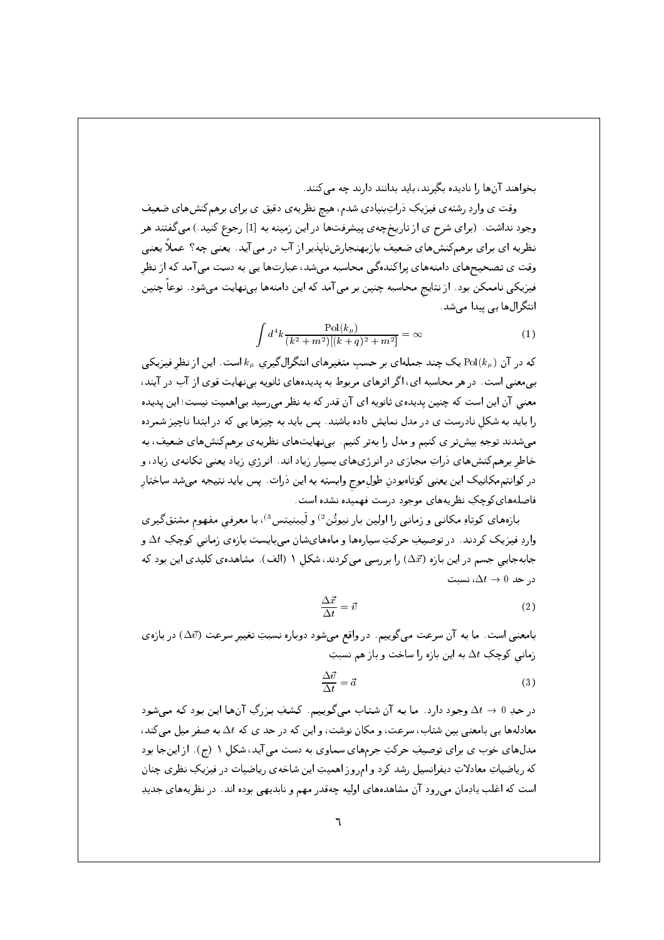بخواهند آنها را نادیده بگیرند، باید بدانند دارند چه می کنند.

وقت ی واردِ رشتهی فیزیکِ ذراتِبنیادی شدم، هیچ نظریهی دقیق ی برای برهمکنشهای ضعیف وجود نداشت. (برای شرح ی از تاریخچهی پیشرفتها در این زمینه به [1] رجوع کنید.) میگفتند هر نظریه ای برای برهمکنشهای ضعیف بازبهنجارشناپذیر از آب در می آید. یعنی چه؟ عملاً یعنی وقت ی تصحیحهای دامنههای پراکندهگی محاسبه میشد، عبارتها یی به دست می آمد که از نظر فیزیکی ناممکن بود. از نتایج محاسبه چنین بر می آمد که این دامنهها بینهایت میشود. نوعاً چنین انتگرال ها ہے پیدا مے شد.

$$
\int d^4k \frac{\text{Pol}(k_\mu)}{(k^2 + m^2)[(k+q)^2 + m^2]} = \infty
$$
 (1)

که در آن  ${\rm Pol}(k_u)$ یک چند جملهای بر حسب متغیرهای انتگرالگیری  $k_u$  است. این از نظر فیزیکی بی،معنی است. در هر محاسبه ای، اگر اثرهای مربوط به پدیدههای ثانویه بی نهایت قوی از آب در آیند، معنی آن این است که چنین پدیده ی ثانویه ای آن قدر که به نظر می رسید بی اهمیت نیست؛ این پدیده را باید به شکل نادرست ی در مدل نمایش داده باشند. پس باید به چیزها یی که در ابتدا ناچیز شمرده میشدند توجهِ بیشتر ی کنیم و مدل را بهتر کنیم. بینهایتهای نظریهی برهمکنشهای ضعیف، به خاطر برهمکنشهای ذراتِ مجازی در انرژیهای بسیار زیاد اند. انرژی زیاد یعنی تکانهی زیاد، و در كوانتم مكانيك اين يعني كوتاهبودنِ طولِ موج وابسته به اين ذرات. پس بايد نتيجه ميشد ساختار فاصلههای کوچکِ نظریههای موجود درست فهمیده نشده است.

بازههای کوتاهِ مکانی و زمانی را اولین بار نیوتُن<sup>2</sup> و لَیبنیتس<sup>3</sup>)، با معرفی مفهوم مشتقگیری واردِ فیزیک کردند. در توصیفِ حرکتِ سیارهها و ماههایشان میبایست بازهی زمانی کوچکِ ۵t و جابهجایی جسم در این بازه (۵ $\vec{x}$ ) را بررسی میکردند، شکل ۱ (الف). مشاهدهی کلیدی این بود که  $\Delta t \to 0$  در حد

$$
\frac{\Delta \vec{x}}{\Delta t} = \vec{v} \tag{2}
$$

بامعنی است. ما به آن سرعت میگوییم. در واقع میشود دوباره نسبتِ تغییر سرعت (۵ $\vec{v}$ ) در بازهی زمانی کوچکِ  $\Delta t$  به این بازه را ساخت و باز هم نسبتِ

$$
\frac{\Delta \vec{v}}{\Delta t} = \vec{a} \tag{3}
$$

در حدِ 0  $\lambda t \to \Delta t$  وجود دارد . ما بـه آن شتـاب مـىگوييـم. كـشفِ بـزرگِ آنها ايـن بـود كـه مـىشود معادلهها یی بامعنی بین شتاب، سرعت، و مکان نوشت، و این که در حد ی که  $\Delta t$  به صفر میل می کند، مدلهای خوب ی برای توصیفِ حرکتِ جرمهای سماوی به دست می آید، شکل ١ (ج). از اینجا بود که ریاضیاتِ معادلاتِ دیفرانسیل رشد کرد و امروز اهمیتِ این شاخهی ریاضیات در فیزیکِ نظری چنان است که اغلب یادِمان می رود آن مشاهدههای اولیه چهقدر مهم و نابدیهی بوده اند. در نظریههای جدیدِ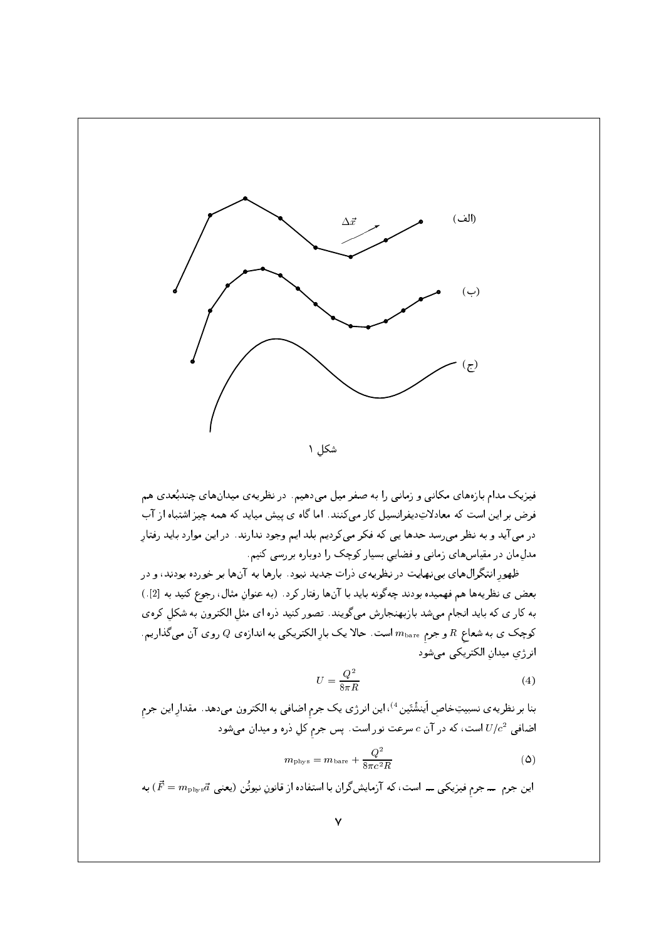

فیزیک مدام بازههای مکانبی و زمانبی را به صفر میل میدهیم. در نظریهی میدانهای چندبُعدی هم فرض بر این است که معادلاتِدیفرانسیل کار میکنند. اما گاه ی پیش میاید که همه چیز اشتباه از آب در می آید و به نظر میرسد حدها یی که فکر میکردیم بلد ایم وجود ندارند. در این موارد باید رفتار مدل مان در مقیاس های زمانی و فضایی بسیار کوچک را دوباره بررسی کنیم.

ظهور انتگرال های بپینهایت در نظریه ی درات جدید نبود. بارها به آنها بر خورده بودند، و در بعض ي نظريهها هم فهميده بودند چه گونه بايد با آنها رفتار كرد. (به عنوان مثال، رجوع كنيد به [2].) به کار ی که باید انجام میشد بازبهنجارش میگویند. تصور کنید دره ای مثل الکترون به شکل کرهی کوچک ی به شعاع  $R$  و جرم  $m_{\rm bare}$  است. حالا یک بارِ الکتریکی به اندازه $Q$  روی آن میگذاریم. انرژی میدان الکتریکی می شود

$$
U = \frac{Q^2}{8\pi R} \tag{4}
$$

بنا بر نظریه ی نسبیتِخاصِ اَینشْتَین <sup>4</sup>)، این انرژی یک جرم اضافی به الکترون میدهد. مقدارِ این جرمِ اضافی  $U/c^2$  است، که در آن  $c$  سرعت نور است. پس جرم کل دره و میدان میشود

$$
m_{\text{phys}} = m_{\text{bare}} + \frac{Q^2}{8\pi c^2 R} \tag{0}
$$

این جرم ــ جرم فیزیکی ـــ است، که آزمایشگران با استفاده از قانونِ نیوتُن (یعنی  $\vec{F} = m_{\text{phys}}\vec{a}$  به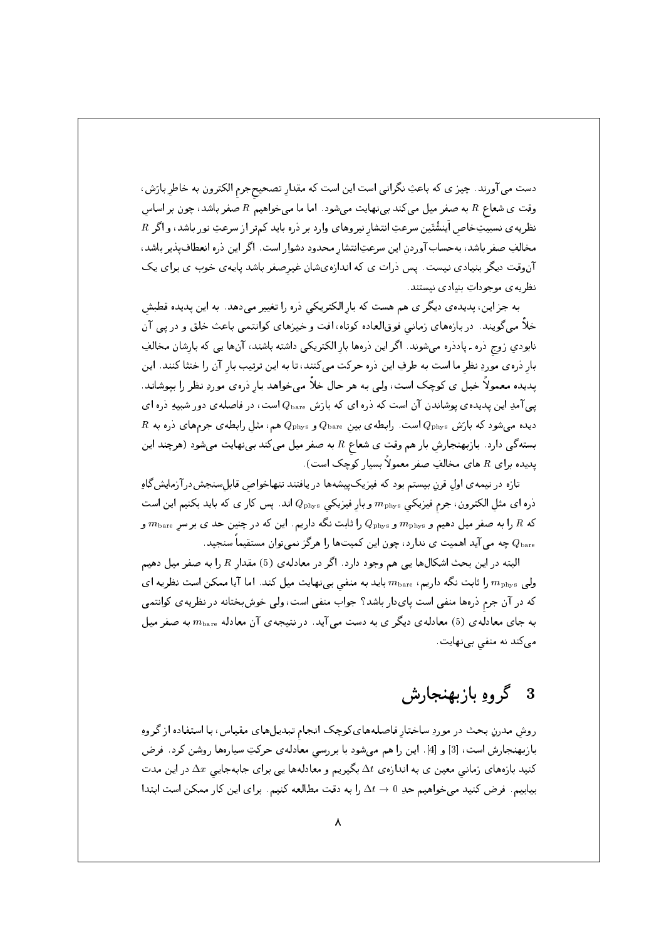دست می آورند. چیز ی که باعثِ نگرانی است این است که مقدار تصحیحجرم الکترون به خاطر بارَش، وقت ی شعاع  $R$  به صفر میل میکند بی نهایت می شود. اما ما می خواهیم  $R$  صفر باشد، چون بر اساس  $R$  نظریه ی نسبیتِخاص اَینشْتَین سرعتِ انتشار نیروهای وارد بر دره باید کمتر از سرعتِ نور باشد، و اگر مخالفِ صفر باشد، بهحسابآوردن این سرعتِانتشار محدود دشوار است. اگر این ذره انعطافپذیر باشد، آنوقت دیگر بنیادی نیست. پس ذرات ی که اندازهیشان غیرصفر باشد پایهی خوب ی برای یک نظریه ی موجوداتِ بنیادی نیستند.

به جز این، پدیدهی دیگر ی هم هست که بار الکتریکی دره را تغییر میدهد. به این پدیده قطبش خلاً میگویند. دربازههای زمانی فوقالعاده کوتاه، افت و خیزهای کوانتمی باعث خلق و در پی آن نابودی زوج دره ـ پاددره میشوند. اگر این درهها بار الکتریکی داشته باشند، آنها یی که بارشان مخالفِ بار ذرهى موردِ نظر ما است به طرفِ اين ذره حركت مى كنند، تا به اين ترتيب بار آن را خنثا كنند. اين یدیده معمولاً خیل ی کوچک است، ولی به هر حال خلاً می خواهد بار درهی موردِ نظر را بیوشاند. یبی آمدِ این پدیدهی پوشاندن آن است که دره ای که بارَش ،Rbare است، در فاصلهی دور شبیهِ دره ای  $R$  دیده میشود که بارَش  $Q_{\rm phys}$  است. رابطه $Q_{\rm bare}$  بینِ  $Q_{\rm bare}$  و  $Q_{\rm phys}$  هم، مثل رابطه $\zeta$  جرمهای ذره به بستهگی دارد. بازبهنجارش بار هم وقت ی شعاع R به صفر میل میکند بینهایت میشود (هرچند این یدیده برای R های مخالفِ صفر معمولاً بسیار کوچک است).

تازه در نیمه ی اول قرن بیستم بود که فیزیکپیشهها در یافتند تنهاخواص قابلسنجش درآزمایش گاهِ ذره اى مثلِ الكترون، جرم فيزيكي  $m_{\rm phys}$  و بارِ فيزيكي  $Q_{\rm phys}$  اند. پس كار ى كه بايد بكنيم اين است که  $R$  را به صفر میل دهیم و  $m_{\rm phys}$  و  $Q_{\rm phys}$  را ثابت نگه داریم. این که در چنین حد ی بر سر  $R$  و یه می آید اهمیت ی ندارد، چون این کمیتها را هرگز نمیتوان مستقیماً سنجید.  $Q_{\rm bare}$ 

البته در این بحث اشکالها یی هم وجود دارد. اگر در معادلهی (5) مقدار  $R$  را به صفر میل دهیم ولی  $m_{\rm phys}$  را ثابت نگه داریم،  $m_{\rm bare}$  باید به منفی بینهایت میل کند. اما آیا ممکن است نظریه ای که در آن جرم درهها منفی است پایدار باشد؟ جواب منفی است، ولی خوش بختانه در نظریه ی کوانتمی به جای معادلهی (5) معادلهی دیگر ی به دست می آید. در نتیجهی آن معادله  $m_{\rm bare}$  به صفر میل میکند نه منفی بینهایت.

# 3 گروهِ بازبهنجارش

روش مدرنِ بحث در موردِ ساختار فاصلههایکوچک انجام تبدیلهای مقیاس، با استفاده از گروهِ بازبهنجارش است، [3] و [4]. این را هم میشود با بررسی معادلهی حرکتِ سیارهها روشن کرد. فرض کنید بازههای زمانبی معین ی به اندازهی  $\Delta t$  بگیریم و معادلهها یی برای جابهجایی  $\Delta x$  در این مدت بیابیم. فرض کنید میخواهیم حدِ 0 → 1⁄2 را به دقت مطالعه کنیم. برای این کار ممکن است ابتدا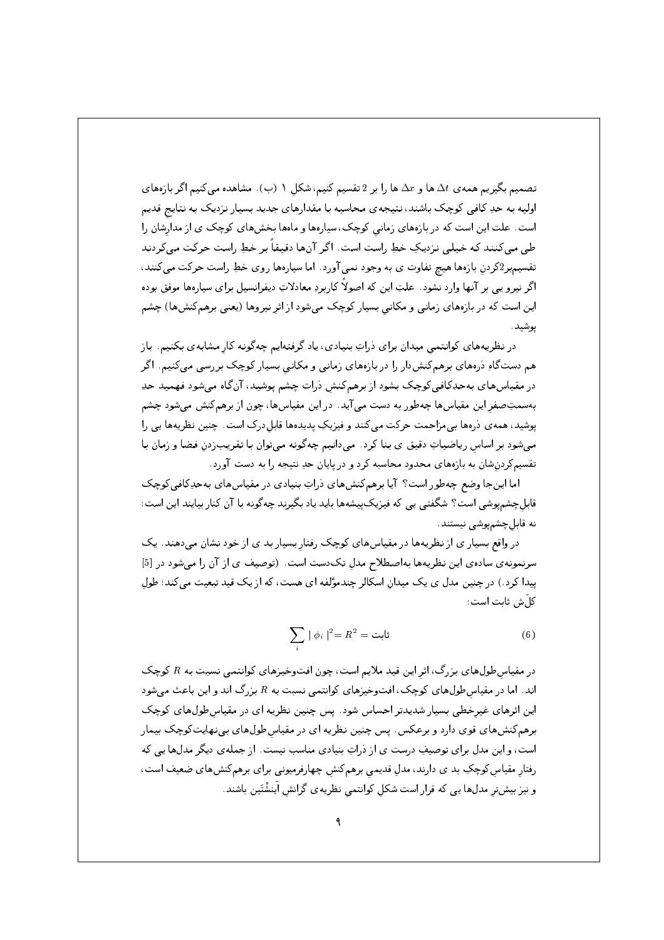تصمیم بگیریم همه ی  $\Delta t$  ها و  $\Delta x$  ها را بر 2 تقسیم کنیم، شکل ۱ (ب). مشاهده می کنیم اگر بازههای اولیه به حدِ کافی کوچک باشند، نتیجهی محاسبه با مقدارهای جدید بسیار نزدیک به نتایج قدیم است. علت این است که در بازههای زمانی کوچک، سیارهها و ماهها بخشهای کوچک ی از مدارشان را طی میکنند که خیلی نزدیکِ خطِ راست است. اگر آنها دقیقاً بر خطِ راست حرکت میکردند تقسیمبر2کردن بازهها هیچ تفاوت ی به وجود نمبی آورد. اما سپارهها روی خطِ راست حرکت مبی کنند، اگر نیرو یی بر آنها وارد نشود. علتِ این که اصولاً کاربردِ معادلاتِ دیفرانسیل برای سیارهها موفق بوده این است که در بازههای زمانبی و مکانبی بسیار کوچک میشود از اثر نیروها (یعنبی برهمکنشها) چشم يوشيد.

در نظریههای کوانتمی میدان برای ذراتِ بنیادی، یاد گرفتهایم چهگونه کار مشابهی بکنیم. باز هم دستگاهِ درههای برهمکنشدار را در بازههای زمانی و مکانی بسیار کوچک بررسی میکنیم. اگر در مقیاسهای بهحدِکافی کوچک بشود از برهمکنش درات چشم پوشید، آنگاه می شود فهمید حدِ بهسمتِصفر این مقیاسها چهطور به دست می آید. در این مقیاسها، چون از برهمکنش میشود چشم پوشید، همه ی ذرهها بی مزاحمت حرکت میکنند و فیزیکِ پدیدهها قابلدرک است. چنین نظریهها یی را می شود بر اساس ریاضیاتِ دقیق ی بنا کرد . می دانیم چه گونه می توان با تقریب زدن فضا و زمان با تقسیمکردنشان به بازههای محدود محاسبه کرد و در پایان حدِ نتیجه را به دست آورد.

اما اینجا وضع چهطور است؟ آیا برهم کنش های ذراتِ بنیادی در مقیاس های به حدِکافی کوچک قابلچشمیوشی است؟ شگفتی یی که فیزیکییشهها باید یاد بگیرند چهگونه با آن کنار بیایند این است: نه قابل چشمپوشی نیستند.

در واقع بسیار ی از نظریهها در مقیاسهای کوچک رفتار بسیار بد ی از خود نشان میدهند. یک سرنمونه ی ساده ی این نظریهها بهاصطلاح مدل تک دست است. (توصیف ی از آن را می شود در [5] ییدا کرد.) در چنین مدل ی یک میدان اسکالر چندمؤلفه ای هست، که از یک قید تبعیت میکند؛ طول كا َش ثابت است :

$$
\sum_{i} |\phi_{i}|^{2} = R^{2} = \text{diag} \tag{6}
$$

در مقیاس طولهای بزرگ، اثر این قید ملایم است، چون افتوخیزهای کوانتمی نسبت به  $R$  کوچک اند. اما در مقیاس طول های کوچک، افتوخیزهای کوانتمی نسبت به  $R$  بزرگ اند و این باعث میشود این اثرهای غیرخطی بسیار شدیدتر احساس شود. پس چنین نظریه ای در مقیاس طول های کوچک برهمکنشهای قوی دارد و برعکس. پس چنین نظریه ای در مقیاسطولهای بینهایتکوچک بیمار است، و این مدل برای توصیفِ درست ی از ذراتِ بنیادی مناسب نیست. از جملهی دیگر مدلها یی که رفتار مقیاس کوچکِ بد ی دارند، مدل قدیمی برهمکنش چهارفرمیونی برای برهمکنشهای ضعیف است، و نیز بیشتر مدلها یی که قرار است شکل کوانتمی نظریه ی گرانش اینشْتَین باشند.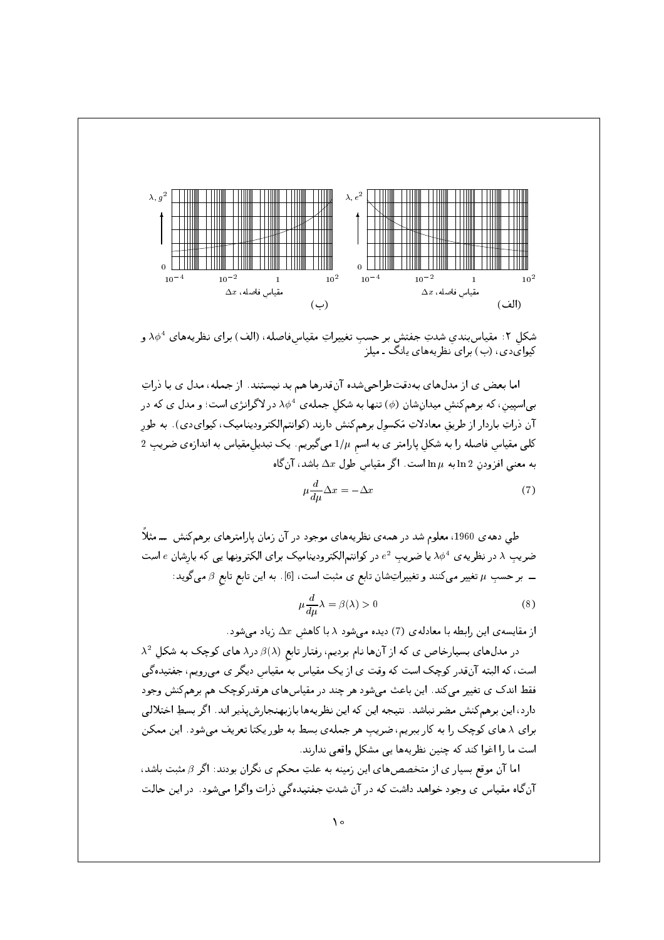

شکل ۲: مقیاس بندی شدتِ جفتش بر حسب تغییراتِ مقیاسفاصله، (الف) برای نظریههای  $\lambda \phi^4$  و کیوایدی، (ب) برای نظریههای یانگ ـ میلز

اما بعض ی از مدلهای بهدقتطراحی شده آنقدرها هم بد نیستند. از جمله، مدل ی با ذراتِ بی اسپین، که برهمکنش میدانشان (¢) تنها به شکل جملهی  $\lambda \phi^4$  در لاگرانژی است؛ و مدل ی که در آن ذراتِ باردار از طریق معادلاتِ مَکسول برهمکنش دارند (کوانتم|لکترودینامیک، کیوایدی). به طور  $2$  کلبی مقیاس فاصله را به شکل پارامتر ی به اسم  $1/\mu$  میگیریم. یک تبدیل مقیاس به اندازهی ضریبِ به معنى افزودن  $\ln 2$ ابه  $\ln \mu$  است. اگر مقیاس طول  $\Delta x$  باشد، آنگاه

$$
\mu \frac{d}{d\mu} \Delta x = -\Delta x \tag{7}
$$

طی دههی 1960، معلوم شد در همهی نظریههای موجود در آن زمان پارامترهای برهمکنش ـــ مثلاً ضریب ۸ در نظریه ی  $\phi^4$  یا ضریب  $e^2$  در کوانتمالکترودینامیک برای الکترونها یی که بارشان  $e$  است ـــ بر حسبِ u تغییر میکنند و تغییراتِشان تابع ی مثبت است، [6]. به این تابع تابع  $\beta$  میگوید:

$$
\mu \frac{d}{d\mu} \lambda = \beta(\lambda) > 0 \tag{8}
$$

از مقایسه ی این رابطه با معادله ی (7) دیده می شود  $\lambda$  با کاهش  $\Delta x$  زیاد می شود.

 $\lambda^2$  در مدلهای بسیارخاص ی که از آنها نام بردیم، رفتار تابع  $\beta(\lambda)$  در $\lambda$  های کوچک به شکل  $\lambda$ است، که البته آنقدر کوچک است که وقت ی از یک مقیاس به مقیاس دیگر ی می رویم، جفتیدهگی فقط اندک ی تغییر میکند. این باعث میشود هر چند در مقیاسهای هرقدرکوچک هم برهمکنش وجود دارد، این برهمکنش مضر نباشد. نتیجه این که این نظریهها بازبهنجارش پذیر اند. اگر بسطِ اختلالی برای ۸ های کوچک را به کار ببریم، ضریبِ هر جملهی بسط به طور یکتا تعریف میشود. این ممکن است ما را اغوا كند كه چنين نظريهها يي مشكل واقعي ندارند.

اما آن موقع بسیار ی از متخصصهای این زمینه به علتِ محکم ی نگران بودند: اگر  $\beta$  مثبت باشد، آن گاه مقیاس ی وجود خواهد داشت که در آن شدتِ جفتیدهگی درات واگرا میشود. در این حالت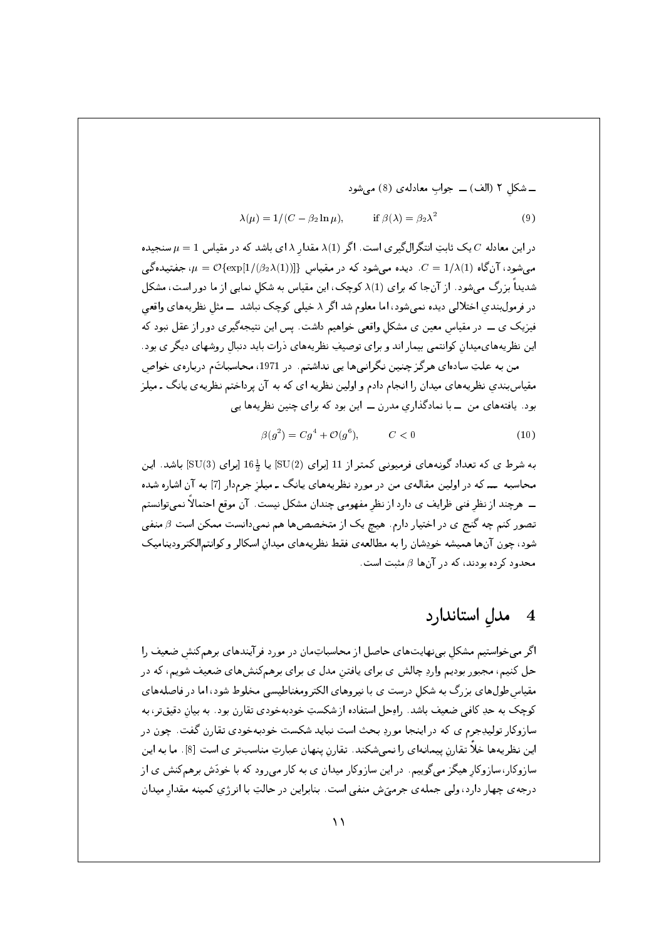ے شکلِ ۲ (الف)  — جواب معادلەى (8) مىشود
$$
\lambda(\mu) = 1/(C - \beta_2 \ln \mu), \qquad \text{if } \beta(\lambda) = \beta_2 \lambda^2 \tag{9}
$$

 $\mu=1$  در این معادله  $C$ یک ثابتِ انتگرال گیری است. اگر  $\lambda(1)$  مقدار  $\lambda$  ای باشد که در مقیاس  $1=1$ سنجیده  $\mu = \mathcal{O}\{\exp[1/(\beta_2\lambda(1))]\}$ می شود، آن گاه (1/ $\lambda(1)$  .c = 1/ $\lambda(1)$  میشود، آن گاه شدیداً بزرگ می شود . از آنجا که برای (1)X کوچک، این مقیاس به شکل نمایی از ما دور است، مشکل در فرمول بندی اختلالی دیده نمی شود، اما معلوم شد اگر ۸ خیلی کوچک نباشد ـــ مثل نظریههای واقعی فیزیک ی ـــ در مقیاس معین ی مشکل واقعی خواهیم داشت. پس این نتیجهگیری دور از عقل نبود که این نظریههای میدان کوانتمی بیمار اند و برای توصیفِ نظریههای ذرات باید دنبال روشهای دیگر ی بود . من به علتِ سادهای هرگز چنین نگرانیها یی نداشتم. در 1971، محاسباتَم دربارهی خواص مقیاسبندی نظریههای میدان را انجام دادم و اولین نظریه ای که به آن پرداختم نظریه ی پانگ ـ میلز بود. یافتههای من ۔با نمادگذاری مدرن ۔ این بود که برای چنین نظریهها یی

$$
\beta(g^2) = Cg^4 + \mathcal{O}(g^6), \qquad C < 0 \tag{10}
$$

به شرط ی که تعداد گونههای فرمیونی کمتر از 11 اِبرای (SU(2) یا 16 اِبرای (SU(3) باشد. این محاسبه ـــ که در اولین مقالهی من در موردِ نظریههای یانگ ـ میلز جرمدار [7] به آن اشاره شده ـــ هرچند از نظر فنی ظرایف ی دارد از نظر مفهومی چندان مشکل نیست. آن موقع احتمالاً نمی;توانستم تصور کنم چه گنج ی در اختیار دارم. هیچ یک از متخصصها هم نمیدانست ممکن است  $\beta$  منفی شود، چون آنها همیشه خودِشان را به مطالعهی فقط نظریههای میدان اسکالر و کوانتمالکترودینامیک محدود کرده بودند، که در آنها  $\beta$  مثبت است.

#### مدل استاندارد  $\overline{4}$

اگر می خواستیم مشکل بی نهایتهای حاصل از محاسباتِمان در مورد فرآیندهای برهمکنش ضعیف را حل کنیم، مجبور بودیم واردِ چالش ی برای یافتن مدل ی برای برهمکنشهای ضعیف شویم، که در مقیاس طول های بزرگ به شکل درست ی با نیروهای الکترومغناطیسی مخلوط شود، اما در فاصلههای کوچک به حدِ کافی ضعیف باشد. راوحل استفاده از شکستِ خودبهخودی تقارن بود. به بیان دقیقتر، به سازوکار تولیدِجرم ی که در اینجا موردِ بحث است نباید شکست خودبهخودی تقارن گفت. چون در این نظریهها خلاً تقارن پیمانهای را نمیشکند. تقارن پنهان عبارتِ مناسبتر ی است [8]. ما به این سازوکار، سازوکار هیگز میگوییم. در این سازوکار میدان ی به کار میرود که با خودَش برهمکنش ی از درجهی چهار دارد، ولی جملهی جرمیَش منفی است. بنابراین در حالتِ با انرژی کمینه مقدار میدان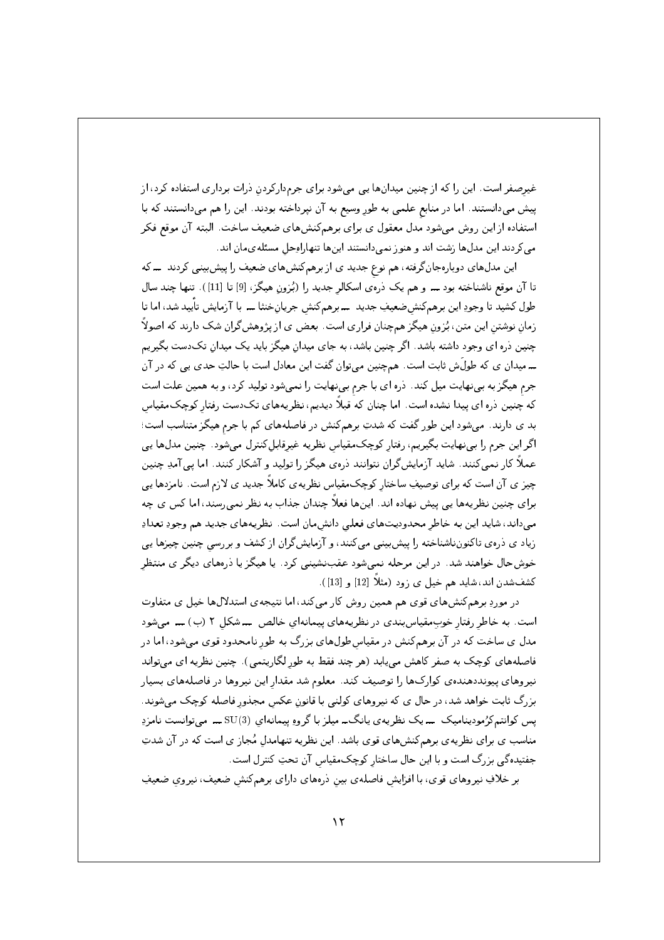غیرصفر است. این را که از چنین میدانها یی میشود برای جرمدارکردن ذرات برداری استفاده کرد، از پیش میدانستند. اما در منابع علمی به طور وسیع به آن نپرداخته بودند. این را هم میدانستند که با استفاده از این روش میشود مدل معقول ی برای برهمکنشهای ضعیف ساخت. البته آن موقع فکر می کردند این مدلها زشت اند و هنوز نمی دانستند اینها تنهاراوحل مسئلهىمان اند.

این مدلهای دوبارهجانگرفته، هم نوع جدید ی از برهمکنشهای ضعیف را پیشبینی کردند ـــ که تا آن موقع ناشناخته بود ــــ و هم یک ذره ی اسکالر جدید را (بُزون هیگز، [9] تا [11]). تنها چند سال طول کشید تا وجودِ این برهمکنش&نعیفِ جدید ـــ برهمکنش جریانخنثا ـــ با آزمایش تأیید شد، اما تا زمان نوشتن این متن، بُزون هیگز همچنان فراری است. بعض ی از پژوهشگران شک دارند که اصولاً چنین دره ای وجود داشته باشد. اگر چنین باشد، به جای میدان هیگز باید یک میدان تکدست بگیریم ۔ میدان ی که طولَش ثابت است. همچنین میتوان گفت این معادل است با حالتِ حدی یی که در آن جرم هیگز به بینهایت میل کند. دره ای با جرم بینهایت را نمیشود تولید کرد، و به همین علت است که چنین دره ای پیدا نشده است. اما چنان که قبلاً دیدیم، نظریههای تکدست رفتار کوچک مقیاس بد ی دارند. میشود این طور گفت که شدتِ برهمکنش در فاصلههای کم با جرم هیگز متناسب است؛ اگر این جرم را بی نهایت بگیریم، رفتار کوچک مقیاس نظریه غیرقابل کنترل می شود. چنین مدلها یی عملاً کار نمیکنند. شاید آزمایشگران نتوانند ذرهی هیگز را تولید و آشکار کنند. اما یی آمدِ چنین چیز ی آن است که برای توصیفِ ساختار کوچک مقیاس نظریه ی کاملاً جدید ی لازم است. نامزدها یی برای چنین نظریهها یی پیش نهاده اند. اینها فعلاً چندان جذاب به نظر نمیرسند، اما کس ی چه می داند، شاید این به خاطر محدودیتهای فعلی دانش مان است. نظریههای جدید هم وجودِ تعدادِ زیاد ی دروی تاکنون&شناخته را پیشبینی میکنند، و آزمایشگران از کشف و بررسی چنین چیزها یی خوشحال خواهند شد. در این مرحله نمی شود عقب نشینی کرد. یا هیگز یا درههای دیگر ی منتظر كشفشدن اند، شايد هم خيل ي زود (مثلاً [12] و [13]).

در موردِ برهمکنشهای قوی هم همین روش کار میکند، اما نتیجهی استدلالها خیل ی متفاوت است. به خاطر رفتار خوبِمقیاسبِندی در نظریههای پیمانهای خالص ـــ شکل ۲ (ب) ـــ می شود مدل ی ساخت که در آن برهمکنش در مقیاسطولهای بزرگ به طور نامحدود قوی میشود، اما در فاصلههای کوچک به صفر کاهش مه پیابد (هر چند فقط به طور لگاریتمی). چنین نظریه ای می تواند نیروهای پیونددهندهی کوارکها را توصیف کند. معلوم شد مقدار این نیروها در فاصلههای بسیار بزرگ ثابت خواهد شد، در حال ی که نیروهای کولنی با قانون عکس مجذور فاصله کوچک میشوند. یس کوانتمکرُمودینامیک ـــ یک نظریه ی یانگـــ میلز با گروهِ پیمانهای SU(3)ـــ میتوانست نامزدِ مناسب ی برای نظریهی برهمکنشهای قوی باشد. این نظریه تنهامدل مُجاز ی است که در آن شدتِ جفتیدهگی بزرگ است و با این حال ساختار کوچکمقیاس آن تحتِ کنترل است.

بر خلافِ نیروهای قوی، با افزایش فاصلهی بین ذرههای دارای برهمکنش ضعیف، نیروی ضعیفِ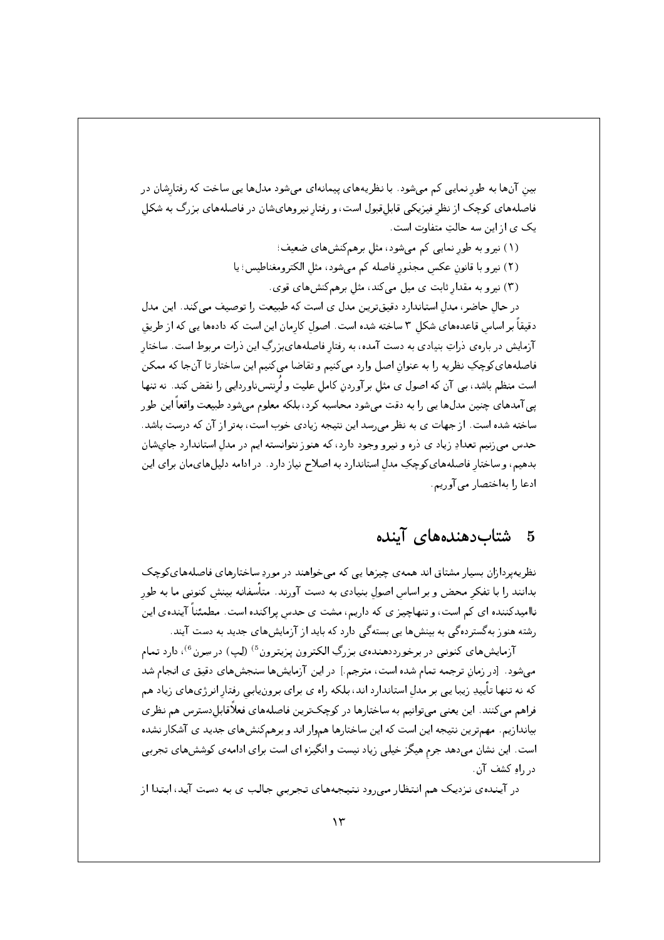بین آنها به طور نمایی کم می شود. با نظریههای پیمانهای می شود مدلها یی ساخت که رفتارشان در فاصلههای کوچک از نظر فیزیکی قابل قبول است، و رفتار نیروهای شان در فاصلههای بزرگ به شکل یک ی از این سه حالتِ متفاوت است.

- (١) نیرو به طور نمایی کم میشود، مثل برهم کنشهای ضعیف؛ (٢) نيرو با قانون عكس مجذور فاصله كم مى شود، مثل الكترومغناطيس؛ يا
	- (۳) نیرو به مقدار ثابت ی میل میکند، مثل برهمکنشهای قوی.

در حال حاضر، مدل استاندارد دقیقترین مدل ی است که طبیعت را توصیف میکند. این مدل دقیقاً بر اساس قاعدههای شکل ۳ ساخته شده است. اصول کارمان این است که دادهها یی که از طریق آزمایش در بارهی ذراتِ بنیادی به دست آمده، به رفتار فاصلههایبزرگِ این ذرات مربوط است. ساختار فاصلههاي كوچكِ نظريه را به عنوان اصل وارد مي كنيم و تقاضا مي كنيم اين ساختار تا آنجا كه ممكن است منظم باشد، بی آن که اصول ی مثل برآوردن کامل علیت و لُرنتس ناوردایی را نقض کند. نه تنها یبی آمدهای چنین مدلها یبی را به دقت میشود محاسبه کرد، بلکه معلوم میشود طبیعت واقعاً این طور ساخته شده است. از جهات ی به نظر می رسد این نتیجه زیادی خوب است، بهتر از آن که درست باشد. حدس می;نیم تعدادِ زیاد ی ذره و نیرو وجود دارد، که هنوز نتوانسته ایم در مدل استاندارد جایشان بدهیم، و ساختار فاصلههای کوچکِ مدل استاندارد به اصلاح نیاز دارد . در ادامه دلیلهایمان برای این ادعا را بهاختصار می آوریم.

#### شتاب دهندههای آینده  $\mathbf{5}$

نظریهپردازان بسیار مشتاق اند همهی چیزها یی که میخواهند در موردِ ساختارهای فاصلههای کوچک بدانند را با تفکر محض و بر اساس اصولِ بنیادی به دست آورند. متأسفانه بینش کنونی ما به طور ناامیدکننده ای کم است، و تنهاچیز ی که داریم، مشت ی حدس پراکنده است. مطمئناً آیندهی این رشته هنوز به گسترده گی به بینش ها یی بسته گی دارد که باید از آزمایش های جدید به دست آیند.

آزمایشهای کنونی در برخورددهندهی بزرگِ الکترون پزیترون <sup>5)</sup> (لِپ) در سِرن <sup>6</sup>) دارد تمام میشود. [در زمانِ ترجمه تمام شده است، مترجم.] در این آزمایشها سنجشهای دقیق ی انجام شد که نه تنها تأییدِ زیبا یی بر مدل استاندارد اند، بلکه راه ی برای برونیابی رفتار انرژیهای زیاد هم فراهم میکنند. این یعنی میتوانیم به ساختارها در کوچکترین فاصلههای فعلاقابلدسترس هم نظری بیاندازیم. مهمترین نتیجه این است که این ساختارها هموار اند و برهمکنشهای جدید ی آشکار نشده است. این نشان میدهد جرم هیگز خیلی زیاد نیست و انگیزه ای است برای ادامهی کوششهای تجربی د, ,اه کشف آن.

در آینده ی نزدیک هم انتظار میرود نتیجههای تجربی جالب ی به دست آید، ابتدا از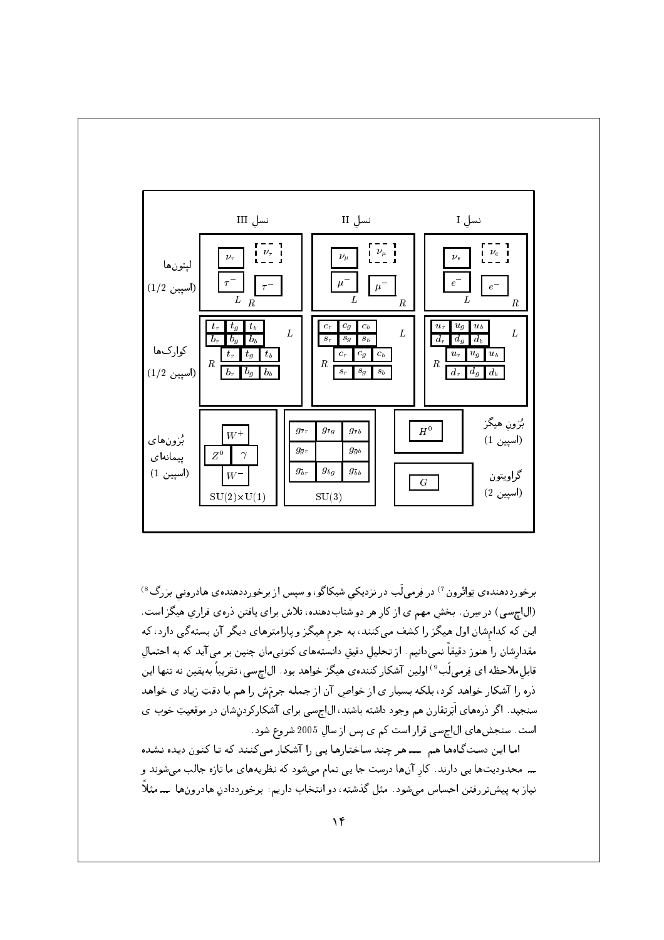

برخورددهنده ی تِواتْرون <sup>7)</sup> در فِرمیلَب در نزدیکی شیکاگو، و سپس از برخورددهنده ی هادرونی بزرگ <sup>8)</sup> (ال|جسی) در سِرن. بخش مهم ی از کار هر دو شتابدهنده، تلاش برای یافتن دروی فراری هیگز است. این که کدامشان اول هیگز را کشف میکنند، به جرم هیگز و پارامترهای دیگر آن بستهگی دارد، که مقدارشان را هنوز دقیقاً نمیدانیم. از تحلیل دقیق دانستههای کنونیمان چنین بر می آید که به احتمال قابل ملاحظه اي فِرميلَب<sup>9)</sup> اولين آشكار كنندهي هيگز خواهد بود . الاچسي، تقريباً بهيقين نه تنها اين ذره را آشکار خواهد کرد، بلکه بسیار ی از خواص آن از جمله جرمَش را هم با دقتِ زیاد ی خواهد سنجید. اگر ذرههای اَبَرتقارن هم وجود داشته باشند، الJچسی برای آشکارکردنِشان در موقعیتِ خوب ی است. سنجشهای ال|چسی قرار است کم ی پس از سال 2005 شروع شود.

اما این دستگاهها هم ـــ هر چند ساختارها یی را آشکار میکنند که تا کنون دیده نشده ـــ محدودیتها یی دارند. کار آنها درست جا یی تمام میشود که نظریههای ما تازه جالب میشوند و نیاز به پیشتررفتن احساس میشود. مثل گذشته، دو انتخاب داریم: برخورددادن هادرونها ــــ مثلاً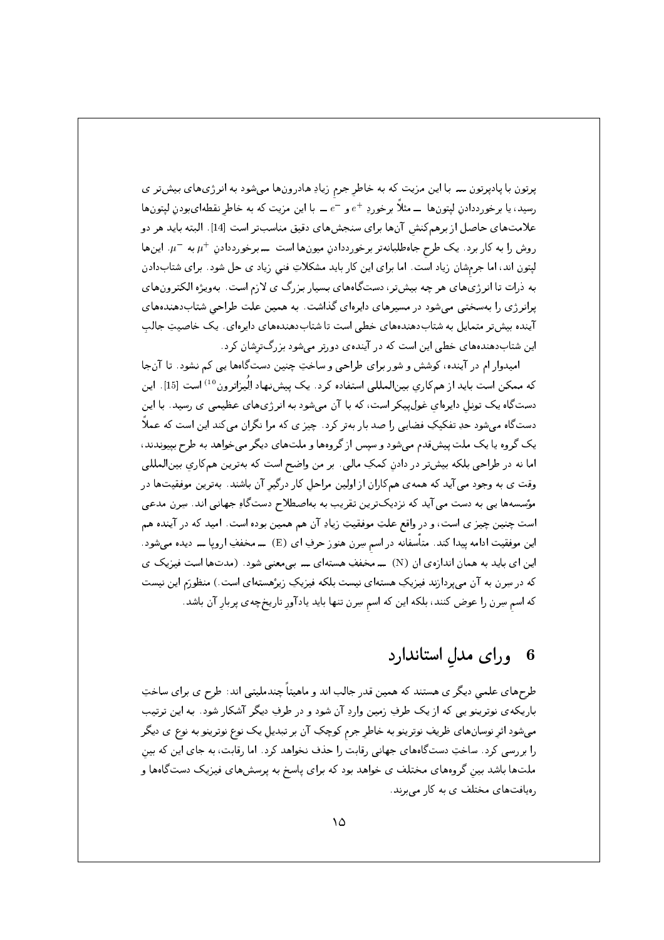پرتون با پادپرتون ــــ با این مزیت که به خاطر جرم زیادِ هادرونها میشود به انرژیهای بیشتر ی رسید، یا برخورددادن لیتونها ــــ مثلاً برخوردِ  $e^+$  و  $e^-$ ـــ با این مزیت که به خاطر نقطهایبودن لیتونها علامتهای حاصل از برهمکنش آنها برای سنجشهای دقیق مناسبتر است [14]. البته باید هر دو روش را به کار برد. یک طرح جاهطلبانهتر برخورددادن میونها است ــ برخورددادن +n به -n. اینها لپتون اند، اما جرمشان زیاد است. اما برای این کار باید مشکلاتِ فنی زیاد ی حل شود. برای شتابدادن به ذرات تا انرژیهای هر چه بیشتر، دستگاههای بسیار بزرگ ی لازم است. بهویژه الکترونهای پرانرژی را بهسختی می شود در مسیرهای دایرهای گذاشت. به همین علت طراحی شتابدهندههای آینده بیش تر متمایل به شتاب دهندههای خطی است تا شتاب دهندههای دایرهای . یک خاصیتِ جالب این شتابدهندههای خطی این است که در آیندهی دورتر می شود بزرگترشان کرد.

اميدوار ام در آينده، كوشش و شور براي طراحي و ساختِ چنين دستگاهها يپي كم نشود. تا آنجا که ممکن است باید از همکاری بینالمللی استفاده کرد. یک پیشنهاد اِلْیزاترون <sup>10)</sup> است [15]. این دستگاه یک تونل دایرهای غول $بیکر است، که با آن میشود به انرژیهای عظیمی ی رسید. با این$ دستگاه میشود حدِ تفکیکِ فضایی را صد بار بهتر کرد . چیز ی که مرا نگران میکند این است که عملاً یک گروه یا یک ملت پیش قدم می شود و سپس از گروهها و ملتهای دیگر می خواهد به طرح بیپوندند، اما نه در طراحي بلكه بيشتر در دادنِ كمكِ مالي. بر من واضح است كه بهترين همكاري بينالمللي وقت ی به وجود می آید که همهی همکاران از اولین مراحل کار درگیر آن باشند. بهترین موفقیتها در مؤسسهها یبی به دست می آید که نزدیکترین تقریب به بهاصطلاح دستگاهِ جهانبی اند. سِرن مدعبی است چنين چيز ي است، و در واقع علتِ موفقيتِ زيادِ آن هم همين بوده است. اميد كه در آينده هم این موفقیت ادامه پیدا کند. متأسفانه در اسم سِرن هنوز حرفِ ای (E) ـــ مخففِ اروپا ـــ دیده میشود . این ای باید به همان اندازهی ان (N) ـــ مخففِ هستهای ـــ بی معنی شود . (مدتها است فیزیک ی که در سِرن به آن میپردازند فیزیکِ هستهای نیست بلکه فیزیکِ زیرْهستهای است.) منظورَم این نیست که اسم سِرن را عوض کنند، بلکه این که اسم سِرن تنها باید یادآور تاریخچهی پربار آن باشد.

#### ورای مدل استاندارد 6

طرحهای علمی دیگر ی هستند که همین قدر جالب اند و ماهیتاً چندملیتی اند: طرح ی برای ساختِ باریکهی نوترینو یی که از یک طرفِ زمین واردِ آن شود و در طرفِ دیگر آشکار شود. به این ترتیب میشود اثر نوسانهای ظریفِ نوترینو به خاطر جرم کوچکِ آن بر تبدیل یک نوع نوترینو به نوع ی دیگر را بررسی کرد . ساختِ دستگاههای جهانی رقابت را حذف نخواهد کرد . اما رقابت، به جای این که بین ملتها باشد بین گروههای مختلف ی خواهد بود که برای یاسخ به پرسشهای فیزیک دستگاهها و رهیافتهای مختلف ی به کار می برند.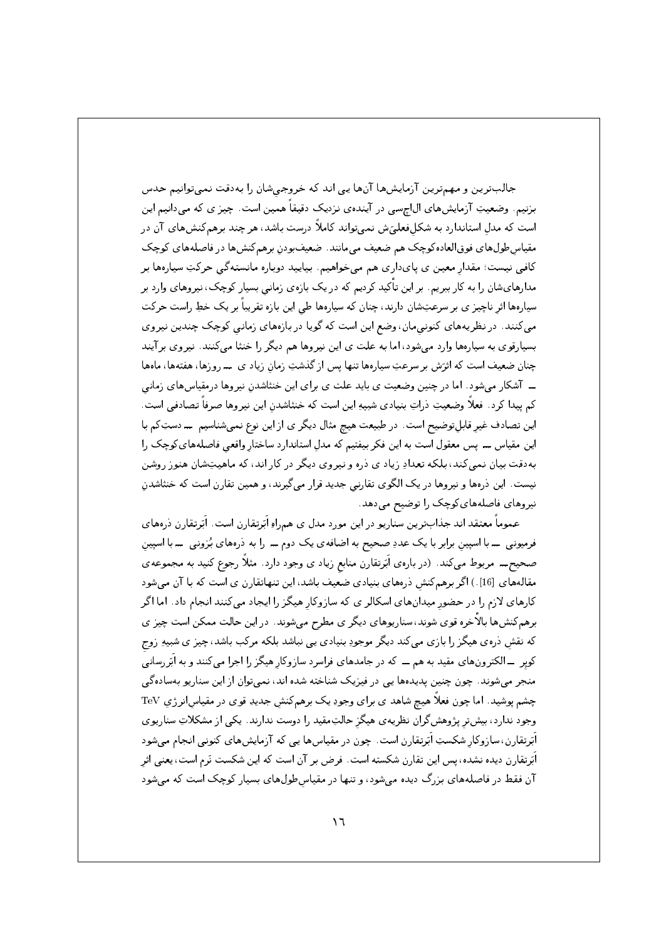جالبترین و مهمترین آزمایشها آنها یی اند که خروجی شان را به دقت نمی توانیم حدس برنیم. وضعیتِ آرمایشهای ال|چسی در آیندهی نزدیک دقیقاً همین است. چیز ی که می دانیم این است که مدل استاندارد به شکلفعلیَ ش نمی تواند کاملاً درست باشد، هر چند برهمکنشهای آن در مقیاس طولهای فوقالعاده کوچک هم ضعیف میمانند. ضعیفبودن برهمکنشها در فاصلههای کوچک کافی نیست؛ مقدار معین ی پایداری هم می خواهیم. بیایید دوباره مانستهگی حرکتِ سیارهها بر مدارهایشان را به کار ببریم. بر این تأکید کردیم که در یک بازهی زمانی بسیار کوچک، نیروهای وارد بر سیارهها اثر ناچیز ی بر سرعتِشان دارند، چنان که سیارهها طی این بازه تقریباً بر یک خطِ راست حرکت میکنند. در نظریههای کنونیمان، وضع این است که گویا در بازههای زمانی کوچک چندین نیروی بسیارقوی به سیارهها وارد میشود، اما به علت ی این نیروها هم دیگر را خنثا میکنند. نیروی برآیند چنان ضعیف است که اثرَش بر سرعتِ سیارهها تنها پس از گذشتِ زمان زیاد ی مدروزها، هفتهها، ماهها ـــ آشکار می شود. اما در چنین وضعیت ی باید علت ی برای این خنثاشدن نیروها درمقیاس های زمانی كم ييدا كرد. فعلاً وضعيتِ ذراتٍ بنيادي شبيهِ اين است كه خنثاشدن اين نيروها صرفاً تصادفي است. این تصادف غیر قابلتوضیح است. در طبیعت هیچ مثال دیگر ی از این نوع نمیشناسیم ـدستِکم با این مقیاس ـــ پس معقول است به این فکر بیفتیم که مدل استاندارد ساختار واقعی فاصلههایکوچک را بهدقت بیان نمی کند، بلکه تعدادِ زیاد ی ذره و نیروی دیگر در کار اند، که ماهیتِشان هنوز روشن نیست. این ذرهها و نیروها در یک الگوی تقارنی جدید قرار میگیرند، و همین تقارن است که خنثاشدن نیروهای فاصلههای کوچک را توضیح میدهد.

عموماً معتقد اند جذابترین سناریو در این مورد مدل ی همراهِ اَبَرتقارن است. اَبَرتقارن درههای فرمیونبی ۔با اسپین برابر با یک عددِ صحیح به اضافه ی یک دوم ۔ را به ذرههای بُزونبی ۔با اسپین صحیح\_ مربوط میکند. (دربارهی اَبَرتقارن منابع زیاد ی وجود دارد. مثلاً رجوع کنید به مجموعهی مقالههای [16].) اگر برهمکنش ذرههای بنیادی ضعیف باشد، این تنهاتقارن ی است که با آن میشود کارهای لازم را در حضور میدانهای اسکالر ی که سازوکار هیگز را ایجاد میکنند انجام داد. اما اگر برهمکنشها بالاخره قوی شوند، سناریوهای دیگر ی مطرح میشوند. در این حالت ممکن است چیز ی که نقش ذرهی هیگز را بازی میکند دیگر موجودِ بنیادی یی نباشد بلکه مرکب باشد، چیز ی شبیهِ زوج کویر ـــ الکترونهای مقید به هم ـــ که در جامدهای فراسرد سازوکار هیگز را اجرا میکنند و به اَبَررسانی منجر میشوند. چون چنین پدیدهها یی در فیزیک شناخته شده اند، نمیتوان از این سناریو بهسادهگی چشم پوشید. اما چون فعلاً هیچ شاهد ی برای وجودِ یک برهمکنش جدیدِ قوی در مقیاسانر ژی TeV وجود ندارد، بیشتر پژوهش گران نظریه ی هیگز حالتِمقید را دوست ندارند. یکی از مشکلاتِ سناریوی اَبَرتقارن، سازوکار شکستِ اَبَرتقارن است. چون در مقیاسها یی که آزمایشهای کنونی انجام می شود اَبَرتقارن دیده نشده، پس این تقارن شکسته است. فرض بر آن است که این شکست نَرم است، یعنی اثر آن فقط در فاصلههای بزرگ دیده می شود، و تنها در مقیاس طولهای بسیار کوچک است که می شود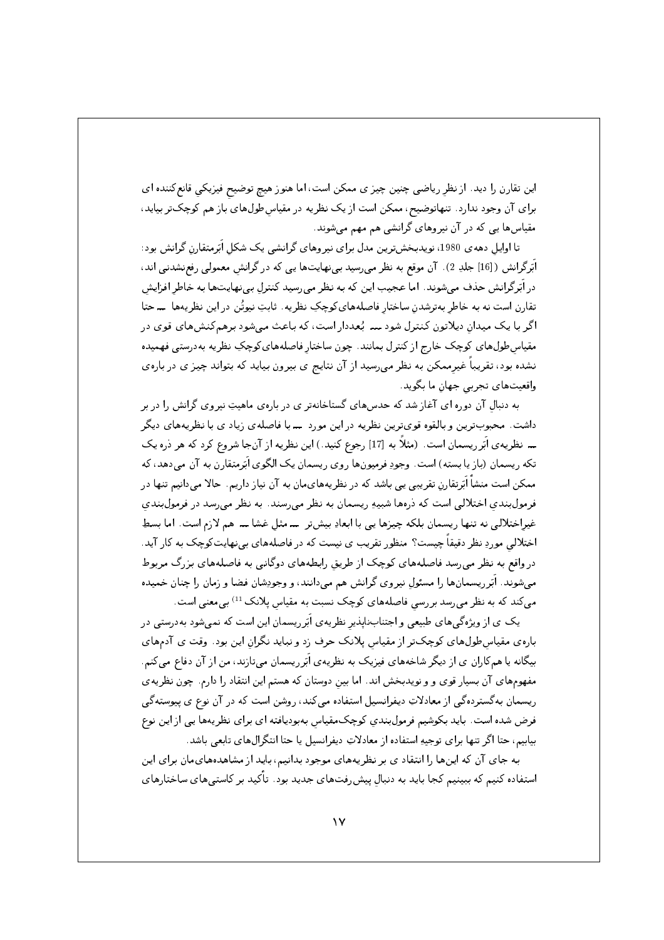این تقارن را دید. از نظر ریاضی چنین چیز ی ممکن است، اما هنوز هیچ توضیح فیزیکی قانع کننده ای برای آن وجود ندارد. تنهاتوضیح، ممکن است از یک نظریه در مقیاس طولهای باز هم کوچک تر بیاید، .<br>مقیاسها یی که در آن نیروهای گرانشی هم مهم می شوند.

تا اوایل دههی 1980، نویدبخشترین مدل برای نیروهای گرانشی یک شکل اَبَرمتقارن گرانش بود: اَبَرِگرانش (16] جلدِ 2). آن موقع به نظر می رسید بی نهایتها یی که در گرانش معمولی رفع نشدنی اند، در اَبَرِ گرانش حذف می شوند. اما عجیب این که به نظر می رسید کنترل بی نهایتها به خاطر افزایش تقارن است نه به خاطر بهترشدن ساختار فاصلههای کوچکِ نظریه. ثابتِ نیوتُن در این نظریهها ــــحتا اگر با یک میدان دیلاتون کنترل شود ـــ بُعددار است، که باعث میشود برهم کنشهای قوی در مقیاسطول های کوچک خارج از کنترل بمانند. چون ساختار فاصلههایکوچکِ نظریه بهدرستی فهمیده نشده بود، تقریباً غیرممکن به نظر میرسید از آن نتایج ی بیرون بیاید که بتواند چیز ی در بارهی واقعيتهاي تجربي جهان ما بگويد.

به دنبال آن دوره ای آغاز شد که حدسهای گستاخانهتر ی در بارهی ماهیتِ نیروی گرانش را در بر داشت. محبوبترین و بالقوه قویترین نظریه در این مورد ـــ با فاصلهی زیاد ی با نظریههای دیگر ـــ نظریه ی اَبَرریسمان است. (مثلاً به [17] رجوع کنید.) این نظریه از آنجا شروع کرد که هر ذره یک تکه ریسمان (باز یا بسته) است. وجودِ فرمیونها روی ریسمان یک الگوی اَبَرمتقارن به آن میدهد، که ممکن است منشأ اَبَرتقارن تقریبی یی باشد که در نظریههایمان به آن نیاز داریم. حالا می دانیم تنها در فرمول بندی اختلالی است که درهها شبیهِ ریسمان به نظر می رسند. به نظر می رسد در فرمول بندی غیراختلالی نه تنها ریسمان بلکه چیزها یی با ابعادِ بیشتر ـــ مثل غشا ـــ هم لازم است. اما بسطِ اختلالی موردِ نظر دقیقاً چیست؟ منظور تقریب ی نیست که در فاصلههای بی نهایتکوچک به کار آید. در واقع به نظر می رسد فاصلههای کوچک از طریق رابطههای دوگانبی به فاصلههای بزرگ مربوط میشوند. اَبَرریسمانها را مسئول نیروی گرانش هم میدانند، و وجودِشان فضا و زمان را چنان خمیده میکند که به نظر می رسد بر رسی فاصلههای کوچک نسبت به مقیاس پلانک <sup>11)</sup> بی معنی است.

یک ی از ویژهگی های طبیعی و اجتنابناپذیر نظریهی اَبَرریسمان این است که نمی شود بهدرستی در بارهی مقیاس طول های کوچکتر از مقیاس پلانک حرف زد و نباید نگران این بود. وقت ی آدمهای بیگانه یا همکاران ی از دیگر شاخههای فیزیک به نظریه ی اَبَرِ ریسمان می،تازند، من از آن دفاع می کنم. مفهومهای آن بسیار قوی و و نویدبخش اند. اما بین دوستان که هستم این انتقاد را دارم. چون نظریهی ریسمان بهگستردهگی از معادلاتِ دیفرانسیل استفاده می کند، روشن است که در آن نوع ی پیوستهگی فرض شده است . بايد بكوشيم فرمولبندي كوچك مقياس بهبوديافته اي براي نظريهها يي از اين نوع بیابیم، حتا اگر تنها برای توجیهِ استفاده از معادلاتِ دیفرانسیل یا حتا انتگرالهای تابعی باشد.

به جای آن که اینها را انتقاد ی بر نظریههای موجود بدانیم، باید از مشاهدههایمان برای این استفاده کنیم که ببینیم کجا باید به دنبال پیش٫فتهای جدید بود. تأکید بر کاستی٫های ساختارهای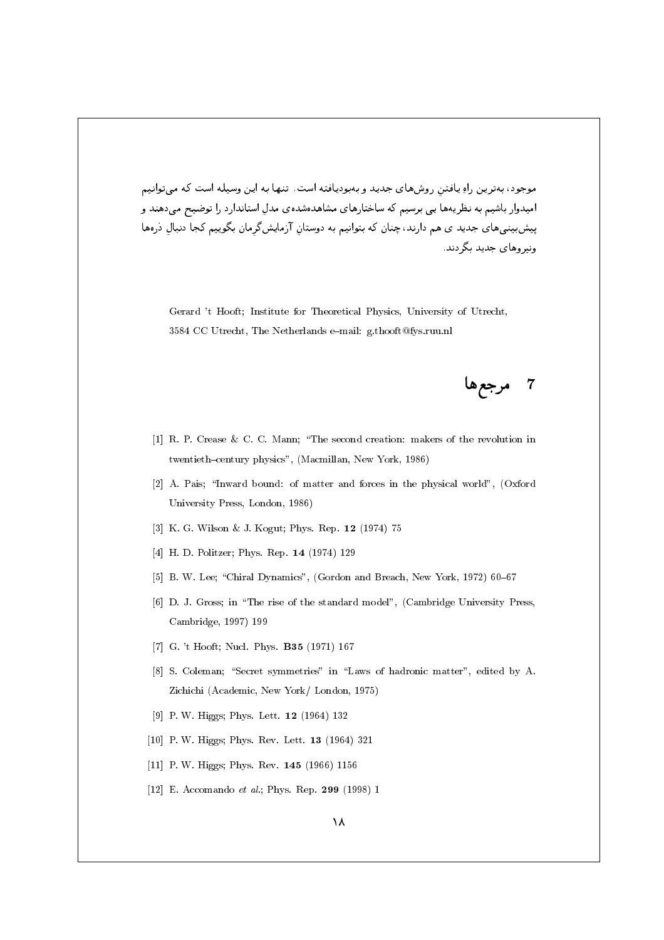موجود، پهترين راو پافتن روش هاي جديد و پهپوديافته است. تنها په اين وسيله است كه مي توانيم امیدوار باشیم به نظریهها یی برسیم که ساختارهای مشاهدهشدهی مدل استاندارد را توضیح می دهند و پیشبینیهای جدید ی هم دارند، چنان که بتوانیم به دوستانِ آزمایشگرمان بگوییم کجا دنبالِ ذرهها ونبر وهای جدید یگر دند.

Gerard 't Hooft; Institute for Theoretical Physics, University of Utrecht, 3584 CC Utrecht, The Netherlands e-mail: g.thooft@fys.ruu.nl

7 مرجعها

- [1] R. P. Crease & C. C. Mann: "The second creation: makers of the revolution in twentieth-century physics", (Macmillan, New York, 1986)
- [2] A. Pais; "Inward bound: of matter and forces in the physical world", (Oxford University Press, London, 1986)
- [3] K. G. Wilson & J. Kogut; Phys. Rep. 12 (1974) 75
- [4] H. D. Politzer; Phys. Rep. 14 (1974) 129
- [5] B. W. Lee; "Chiral Dynamics", (Gordon and Breach, New York, 1972) 60-67
- [6] D. J. Gross; in "The rise of the standard model", (Cambridge University Press, Cambridge, 1997) 199
- [7] G. 't Hooft; Nucl. Phys. **B35** (1971) 167
- [8] S. Coleman; "Secret symmetries" in "Laws of hadronic matter", edited by A. Zichichi (Academic, New York/ London, 1975)
- [9] P. W. Higgs; Phys. Lett. 12 (1964) 132
- [10] P. W. Higgs; Phys. Rev. Lett.  $13$  (1964) 321
- [11] P. W. Higgs; Phys. Rev. 145 (1966) 1156
- [12] E. Accomando *et al*.; Phys. Rep.  $299$  (1998) 1